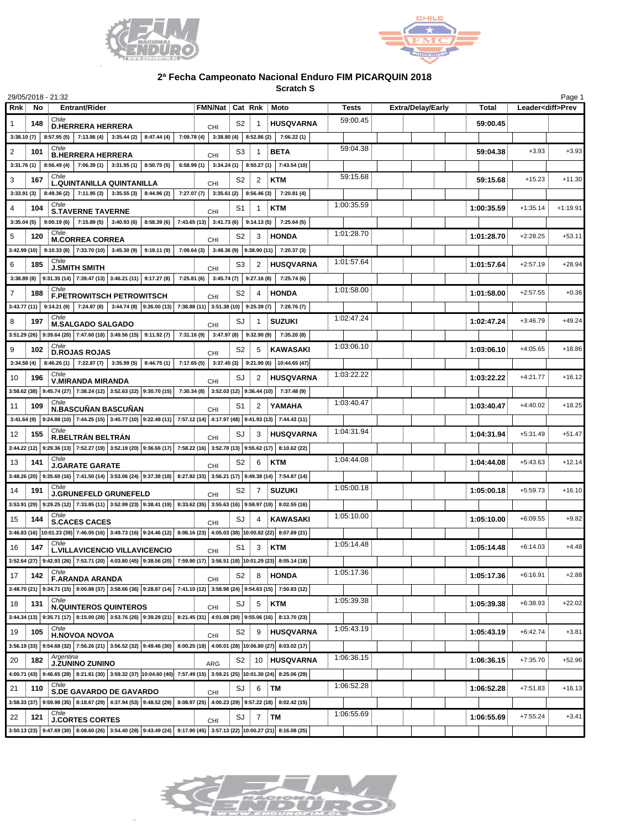



## **2ª Fecha Campeonato Nacional Enduro FIM PICARQUIN 2018**

**Scratch S**

| 29/05/2018 - 21:32      |     |                                                                                                                                                                                                                                                  |                                                                                      |            |                |        |                                                                                       |                          |       |            |                          | Page 1     |
|-------------------------|-----|--------------------------------------------------------------------------------------------------------------------------------------------------------------------------------------------------------------------------------------------------|--------------------------------------------------------------------------------------|------------|----------------|--------|---------------------------------------------------------------------------------------|--------------------------|-------|------------|--------------------------|------------|
| <b>Rnk</b>              | No  | <b>Entrant/Rider</b>                                                                                                                                                                                                                             | FMN/Nat   Cat Rnk   Moto                                                             |            |                |        | Tests                                                                                 | <b>Extra/Delay/Early</b> | Total |            | Leader <diff>Prev</diff> |            |
|                         | 148 | Chile<br><b>D.HERRERA HERRERA</b>                                                                                                                                                                                                                |                                                                                      | CHI        | S2             |        | <b>HUSQVARNA</b>                                                                      | 59:00.45                 |       | 59:00.45   |                          |            |
|                         |     | 3:38.10 (7) 8:57.95 (5) 7:13.86 (4) 3:35.44 (2) 8:47.44 (4) 7:09.78 (4) 3:38.80 (4) 8:52.86 (2) 7:06.22 (1)                                                                                                                                      |                                                                                      |            |                |        |                                                                                       |                          |       |            |                          |            |
| 2                       | 101 | Chile<br><b>B.HERRERA HERRERA</b>                                                                                                                                                                                                                |                                                                                      | CHI        | S3             |        | <b>BETA</b>                                                                           | 59:04.38                 |       | 59:04.38   | $+3.93$                  | $+3.93$    |
|                         |     | $3:31.76(1)$ 8:56.49(4) 7:06.39(1) 3:31.95(1) 8:50.75(5) 6:58.99(1) 3:34.24(1) 8:50.27(1) 7:43.54(10)                                                                                                                                            |                                                                                      |            |                |        |                                                                                       |                          |       |            |                          |            |
| 3                       | 167 | Chile<br><b>L.QUINTANILLA QUINTANILLA</b>                                                                                                                                                                                                        |                                                                                      | <b>CHI</b> | S2             | 2      | <b>KTM</b>                                                                            | 59:15.68                 |       | 59:15.68   | $+15.23$                 | $+11.30$   |
| 3:33.91(3)              |     | 8:49.36 (2) 7:11.95 (3) 3:35.55 (3) 8:44.96 (2) 7:27.07 (7) 3:35.61 (2) 8:56.46 (3) 7:20.81 (4)                                                                                                                                                  |                                                                                      |            |                |        |                                                                                       |                          |       |            |                          |            |
| 4                       | 104 | Chile                                                                                                                                                                                                                                            |                                                                                      |            | S1             | 1      | <b>KTM</b>                                                                            | 1:00:35.59               |       | 1:00:35.59 | $+1:35.14$               | $+1:19.91$ |
| $3:35.04(5)$ 9:00.19(6) |     | <b>S.TAVERNE TAVERNE</b>                                                                                                                                                                                                                         | 7:15.89 (5) 3:40.93 (6) 8:58.39 (6) 7:43.65 (13) 3:41.73 (6) 9:14.13 (5) 7:25.64 (5) | CHI        |                |        |                                                                                       |                          |       |            |                          |            |
| 5                       | 120 | Chile                                                                                                                                                                                                                                            |                                                                                      |            | S2             | 3      | <b>HONDA</b>                                                                          | 1:01:28.70               |       | 1:01:28.70 | $+2:28.25$               | $+53.11$   |
|                         |     | <b>M.CORREA CORREA</b><br>$3:42.99(10)$ $9:10.33(8)$ $7:33.70(10)$ $3:45.30(9)$ $9:19.11(9)$ $7:09.64(3)$ $3:48.36(9)$ $9:38.90(11)$ $7:20.37(3)$                                                                                                |                                                                                      | CHI        |                |        |                                                                                       |                          |       |            |                          |            |
| 6                       | 185 | Chile                                                                                                                                                                                                                                            |                                                                                      |            | S3             | 2      | <b>HUSQVARNA</b>                                                                      | 1:01:57.64               |       | 1:01:57.64 | $+2:57.19$               | $+28.94$   |
|                         |     | <b>J.SMITH SMITH</b><br>3:38.89 (8) $\mid$ 9:31.35 (14) $\mid$ 7:39.47 (13) $\mid$ 3:46.21 (11) $\mid$ 9:17.27 (8) $\mid$ 7:25.81 (6) $\mid$ 3:45.74 (7) $\mid$ 9:27.16 (8) $\mid$ 7:25.74 (6)                                                   |                                                                                      | CHI        |                |        |                                                                                       |                          |       |            |                          |            |
| $\overline{7}$          |     | Chile                                                                                                                                                                                                                                            |                                                                                      |            |                |        | <b>HONDA</b>                                                                          | 1:01:58.00               |       |            | $+2:57.55$               | $+0.36$    |
|                         | 188 | F.PETROWITSCH PETROWITSCH                                                                                                                                                                                                                        |                                                                                      | <b>CHI</b> | S2             |        |                                                                                       |                          |       | 1:01:58.00 |                          |            |
|                         |     | 3:43.77 (11) 9:14.21 (9) 7:24.87 (8) 3:44.74 (8) 9:26.00 (13) 7:38.88 (11) 3:51.38 (10) 9:25.39 (7) 7:28.76 (7)<br>Chile                                                                                                                         |                                                                                      |            |                |        |                                                                                       | 1:02:47.24               |       |            |                          |            |
| 8                       | 197 | <b>M.SALGADO SALGADO</b>                                                                                                                                                                                                                         |                                                                                      | CHI        | SJ             |        | <b>SUZUKI</b>                                                                         |                          |       | 1:02:47.24 | $+3:46.79$               | $+49.24$   |
|                         |     | $3:51.29(26)$ 9:39.64 (20) 7:47.60 (18) 3:49.56 (15) 9:11.92 (7) 7:31.16 (9) 3:47.97 (8) 9:32.90 (9)<br>Chile                                                                                                                                    |                                                                                      |            |                |        | 7:35.20 (8)                                                                           |                          |       |            |                          |            |
| 9                       | 102 | <b>D.ROJAS ROJAS</b>                                                                                                                                                                                                                             |                                                                                      | CHI        | S2             | 5      | KAWASAKI                                                                              | 1:03:06.10               |       | 1:03:06.10 | $+4:05.65$               | $+18.86$   |
| $3:34.58(4)$ 8:46.26(1) |     |                                                                                                                                                                                                                                                  |                                                                                      |            |                |        | 7:22.87 (7) 3:35.99 (5) 8:44.75 (1) 7:17.65 (5) 3:37.45 (3) 9:21.90 (6) 10:44.65 (47) |                          |       |            |                          |            |
| 10                      | 196 | Chile<br><b>V.MIRANDA MIRANDA</b>                                                                                                                                                                                                                |                                                                                      | CHI        | SJ             | 2      | <b>HUSQVARNA</b>                                                                      | 1:03:22.22               |       | 1:03:22.22 | $+4:21.77$               | $+16.12$   |
|                         |     | 3:58.62 (38) 9:45.74 (27) 7:38.24 (12) 3:52.63 (22) 9:30.70 (15) 7:30.34 (8) 3:52.03 (12) 9:36.44 (10) 7:37.48 (9)                                                                                                                               |                                                                                      |            |                |        |                                                                                       |                          |       |            |                          |            |
| 11                      | 109 | Chile<br><b>N.BASCUÑAN BASCUÑAN</b>                                                                                                                                                                                                              |                                                                                      | <b>CHI</b> | S1             | 2      | YAMAHA                                                                                | 1:03:40.47               |       | 1:03:40.47 | $+4:40.02$               | $+18.25$   |
|                         |     | 3:41.64 (9) 9:24.88 (10) 7:44.25 (15) 3:45.77 (10) 9:22.48 (11) 7:57.12 (14) 4:17.97 (48) 9:41.93 (13) 7:44.43 (11)                                                                                                                              |                                                                                      |            |                |        |                                                                                       |                          |       |            |                          |            |
| 12                      | 155 | Chile<br>R.BELTRÁN BELTRÁN                                                                                                                                                                                                                       |                                                                                      | CHI        | SJ             | 3      | <b>HUSQVARNA</b>                                                                      | 1:04:31.94               |       | 1:04:31.94 | $+5:31.49$               | $+51.47$   |
|                         |     | $3:44.22$ (12) $9:29.36$ (13) $7:52.27$ (19) $3:52.19$ (20) $9:36.66$ (17) $7:58.22$ (16) $3:52.78$ (13) $9:55.62$ (17) $8:10.62$ (22)                                                                                                           |                                                                                      |            |                |        |                                                                                       |                          |       |            |                          |            |
| 13                      | 141 | Chile<br><b>J.GARATE GARATE</b>                                                                                                                                                                                                                  |                                                                                      | CHI        | S2             | 6      | <b>KTM</b>                                                                            | 1:04:44.08               |       | 1:04:44.08 | $+5:43.63$               | $+12.14$   |
|                         |     | 3:48.26 (20) 9:35.60 (16) 7:41.50 (14) 3:53.06 (24) 9:37.38 (18) 8:27.82 (33) 3:56.21 (17) 9:49.38 (14) 7:54.87 (14)                                                                                                                             |                                                                                      |            |                |        |                                                                                       |                          |       |            |                          |            |
| 14                      | 191 | Chile<br><b>J.GRUNEFELD GRUNEFELD</b>                                                                                                                                                                                                            |                                                                                      | CHI        | S2             | 7      | <b>SUZUKI</b>                                                                         | 1:05:00.18               |       | 1:05:00.18 | $+5:59.73$               | $+16.10$   |
|                         |     | 3:53.91 (29) 9:29.25 (12) 7:33.85 (11) 3:52.99 (23) 9:38.41 (19) 8:33.62 (35) 3:55.63 (16) 9:59.97 (19) 8:02.55 (16)                                                                                                                             |                                                                                      |            |                |        |                                                                                       |                          |       |            |                          |            |
| 15                      | 144 | Chile<br><b>S.CACES CACES</b>                                                                                                                                                                                                                    |                                                                                      | <b>CHI</b> | SJ             |        | KAWASAKI                                                                              | 1:05:10.00               |       | 1:05:10.00 | $+6:09.55$               | $+9.82$    |
|                         |     | $3:46.83$ (16) $ 10:01.23$ (39) $ 7:46.05$ (16) $ 3:49.73$ (16) $ 9:24.46$ (12) $ 8:08.16$ (23) $ 4:05.03$ (38) $ 10:00.82$ (22) $ 8:07.69$ (21)                                                                                                 |                                                                                      |            |                |        |                                                                                       |                          |       |            |                          |            |
| 16                      | 147 | Chile<br><b>L.VILLAVICENCIO VILLAVICENCIO</b>                                                                                                                                                                                                    |                                                                                      |            | S1             | 3      | <b>KTM</b>                                                                            | 1:05:14.48               |       | 1:05:14.48 | $+6:14.03$               | $+4.48$    |
|                         |     | 3:52.64 (27) 9:42.93 (26) 7:53.71 (20) 4:03.80 (45) 9:38.56 (20) 7:59.90 (17) 3:56.51 (18) 10:01.29 (23) 8:05.14 (18)                                                                                                                            |                                                                                      | CHI        |                |        |                                                                                       |                          |       |            |                          |            |
| 17                      | 142 | Chile                                                                                                                                                                                                                                            |                                                                                      |            | S <sub>2</sub> | 8      | <b>HONDA</b>                                                                          | 1:05:17.36               |       | 1:05:17.36 | $+6:16.91$               | $+2.88$    |
|                         |     | <b>F.ARANDA ARANDA</b><br>3:48.70 (21) 3:34.71 (15) 3:00.88 (37) 3:58.66 (36) 3:28.87 (14) 7:41.10 (12) 3:58.98 (24) 3:54.63 (15) 7:50.83 (12)                                                                                                   |                                                                                      | <b>CHI</b> |                |        |                                                                                       |                          |       |            |                          |            |
| 18                      | 131 | Chile                                                                                                                                                                                                                                            |                                                                                      |            | SJ             | 5      | KTM                                                                                   | 1:05:39.38               |       | 1:05:39.38 | $+6:38.93$               | $+22.02$   |
|                         |     | <b>N.QUINTEROS QUINTEROS</b><br>$3:44.34$ (13) $ 9:35.71$ (17) $ 8:15.00$ (28) $ 3:53.76$ (26) $ 9:39.28$ (21) $ 8:21.45$ (31) $ 4:01.08$ (30) $ 9:55.06$ (16) $ 8:13.70$ (23)                                                                   |                                                                                      | CHI        |                |        |                                                                                       |                          |       |            |                          |            |
|                         |     | Chile                                                                                                                                                                                                                                            |                                                                                      |            |                |        |                                                                                       | 1:05:43.19               |       |            |                          |            |
| 19                      | 105 | <b>H.NOVOA NOVOA</b>                                                                                                                                                                                                                             |                                                                                      | CHI        | S2             | 9      | <b>HUSQVARNA</b>                                                                      |                          |       | 1:05:43.19 | $+6:42.74$               | $+3.81$    |
|                         |     | 3:56.19 (33) $ 9.54.68(32) 7.56.26(21) 3.56.52(32) 9.49.46(30) 8.00.25(18) 4.00.01(28) 10.06.80(27) 8.03.02(17) $<br>Argentina                                                                                                                   |                                                                                      |            |                |        |                                                                                       | 1:06:36.15               |       |            |                          |            |
| 20                      | 182 | <b>J.ŽUNINO ZUNINO</b>                                                                                                                                                                                                                           |                                                                                      | <b>ARG</b> | S <sub>2</sub> |        | 10 HUSQVARNA                                                                          |                          |       | 1:06:36.15 | $+7:35.70$               | $+52.96$   |
|                         |     | 4:00.71 (43) 9:46.65 (28) 8:21.81 (30) 3:59.32 (37) 10:04.60 (40) 7:57.49 (15) 3:59.21 (25) 10:01.30 (24) 8:25.06 (29)                                                                                                                           |                                                                                      |            |                |        |                                                                                       |                          |       |            |                          |            |
| 21                      | 110 | Chile<br>S.DE GAVARDO DE GAVARDO                                                                                                                                                                                                                 |                                                                                      | CHI        | SJ             | $6$ TM |                                                                                       | 1:06:52.28               |       | 1:06:52.28 | $+7:51.83$               | $+16.13$   |
|                         |     | 3:58.33 (37) $ 9:59.98$ (35) $ 8:18.67$ (29) $ 4:37.94$ (53) $ 9:48.52$ (29) $ 8:08.97$ (25) $ 4:00.23$ (29) $ 9:57.22$ (18) $ 8:02.42$ (15)                                                                                                     |                                                                                      |            |                |        |                                                                                       |                          |       |            |                          |            |
| 22                      | 121 | Chile<br><b>J.CORTES CORTES</b>                                                                                                                                                                                                                  |                                                                                      | CHI        | SJ             | $7$ TM |                                                                                       | 1:06:55.69               |       | 1:06:55.69 | $+7:55.24$               | $+3.41$    |
|                         |     | 3:50.13 (23) $ 9.47.69(30) 8.08.60(26) 3.54.40(28) 9.43.49(24) 9.17.90(45) 3.57.13(22) 10.00.27(21) 8.16.08(25) 3.57.13(22) 10.00.27(21) 8.16.08(25) 3.57.13(22) 4.000.27(21) 3.16.08(25) 3.16.08(26) 3.16.08(27) 3.16.08(28) 3.16.08(29) 3.16.$ |                                                                                      |            |                |        |                                                                                       |                          |       |            |                          |            |

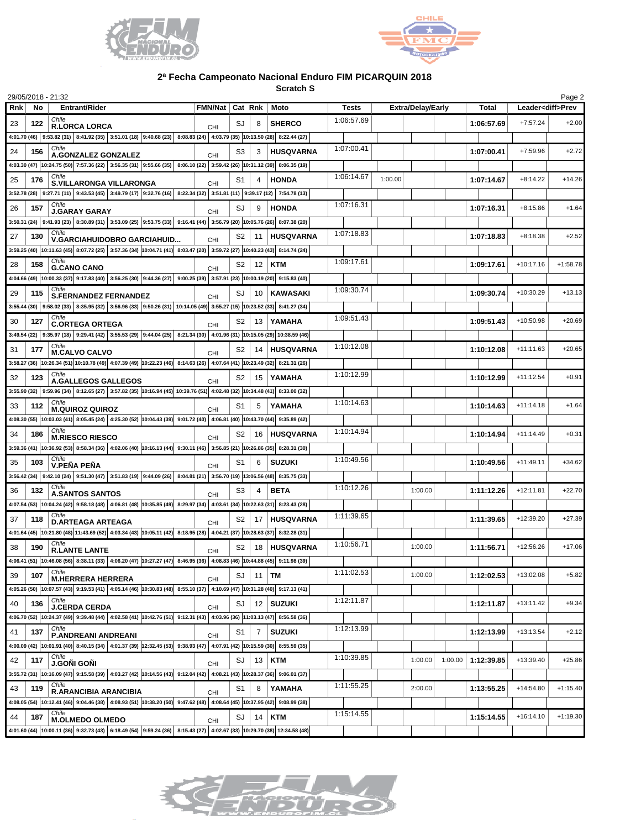



## **2ª Fecha Campeonato Nacional Enduro FIM PICARQUIN 2018**

**Scratch S**

|       |     | 29/05/2018 - 21:32                                                                                                                                             |  |  |                          |                |                |                  |            |         |                          |         |              |             | Page 2                   |
|-------|-----|----------------------------------------------------------------------------------------------------------------------------------------------------------------|--|--|--------------------------|----------------|----------------|------------------|------------|---------|--------------------------|---------|--------------|-------------|--------------------------|
| Rnk l | No  | Entrant/Rider                                                                                                                                                  |  |  | FMN/Nat   Cat Rnk   Moto |                |                |                  | Tests      |         | <b>Extra/Delay/Early</b> |         | <b>Total</b> |             | Leader <diff>Prev</diff> |
| 23    | 122 | Chile<br><b>R.LORCA LORCA</b>                                                                                                                                  |  |  | <b>CHI</b>               | SJ             | 8              | <b>SHERCO</b>    | 1:06:57.69 |         |                          |         | 1:06:57.69   | $+7:57.24$  | $+2.00$                  |
|       |     | 4:01.70 (46) 9:53.82 (31) 8:41.92 (35) 3:51.01 (18) 9:40.68 (23) 8:08.83 (24) 4:03.79 (35) 10:13.50 (28) 8:22.44 (27)                                          |  |  |                          |                |                |                  |            |         |                          |         |              |             |                          |
| 24    | 156 | Chile                                                                                                                                                          |  |  |                          | S3             | 3              | <b>HUSQVARNA</b> | 1:07:00.41 |         |                          |         | 1:07:00.41   | $+7:59.96$  | $+2.72$                  |
|       |     | A.GONZALEZ GONZALEZ<br>4:03.30 (47)  10:24.75 (50)   7:57.36 (22)   3:56.35 (31)   9:55.66 (35)   8:06.10 (22)   3:59.42 (26)  10:31.12 (39)   8:06.35 (19)    |  |  | CHI                      |                |                |                  |            |         |                          |         |              |             |                          |
| 25    | 176 | Chile<br>S.VILLARONGA VILLARONGA                                                                                                                               |  |  |                          | S1             |                | <b>HONDA</b>     | 1:06:14.67 | 1:00.00 |                          |         | 1:07:14.67   | $+8:14.22$  | $+14.26$                 |
|       |     |                                                                                                                                                                |  |  | CHI                      |                |                |                  |            |         |                          |         |              |             |                          |
|       |     | 3:52.78 (28) 9:27.71 (11) 9:43.53 (45) 3:49.79 (17) 9:32.76 (16) 8:22.34 (32) 3:51.81 (11) 9:39.17 (12) 7:54.78 (13)<br>Chile                                  |  |  |                          |                |                |                  | 1:07:16.31 |         |                          |         |              |             |                          |
| 26    | 157 | <b>J.GARAY GARAY</b>                                                                                                                                           |  |  | CHI                      | SJ             | 9              | <b>HONDA</b>     |            |         |                          |         | 1:07:16.31   | $+8:15.86$  | $+1.64$                  |
|       |     | 3:50.31 (24)  9:41.93 (23)  8:30.89 (31)  3:53.09 (25)  9:53.75 (33)  9:16.41 (44)  3:56.79 (20)  10:05.76 (26) 8:07.38 (20)                                   |  |  |                          |                |                |                  |            |         |                          |         |              |             |                          |
| 27    | 130 | Chile<br>V.GARCIAHUIDOBRO GARCIAHUID                                                                                                                           |  |  | <b>CHI</b>               | S2             |                | 11 HUSQVARNA     | 1:07:18.83 |         |                          |         | 1:07:18.83   | $+8:18.38$  | $+2.52$                  |
|       |     | 3:59.25 (40) 10:11.63 (45) 8:07.72 (25) 3:57.36 (34) 10:04.71 (41) 8:03.47 (20) 3:59.22 (27) 10:40.23 (43) 8:14.74 (24)                                        |  |  |                          |                |                |                  |            |         |                          |         |              |             |                          |
| 28    | 158 | Chile<br><b>G.CANO CANO</b>                                                                                                                                    |  |  | CHI                      | S2             |                | 12   <b>KTM</b>  | 1:09:17.61 |         |                          |         | 1:09:17.61   | $+10:17.16$ | $+1:58.78$               |
|       |     | 4:04.66 (49)  10:00.33 (37)   9:17.83 (40)   3:56.25 (30)   9:44.36 (27)   9:00.25 (39)   3:57.91 (23)   10:00.19 (20)   9:15.83 (40)                          |  |  |                          |                |                |                  |            |         |                          |         |              |             |                          |
| 29    | 115 | <b>S.FERNANDEZ FERNANDEZ</b>                                                                                                                                   |  |  | CHI                      | SJ             |                | 10   KAWASAKI    | 1:09:30.74 |         |                          |         | 1:09:30.74   | +10:30.29   | $+13.13$                 |
|       |     | 3:55.44 (30) 9:58.02 (33) 8:35.95 (32) 3:56.96 (33) 9:50.26 (31) 10:14.05 (49) 3:55.27 (15) 10:23.52 (33) 8:41.27 (34)                                         |  |  |                          |                |                |                  |            |         |                          |         |              |             |                          |
| 30    | 127 | Chile                                                                                                                                                          |  |  |                          | S2             |                | 13 YAMAHA        | 1:09:51.43 |         |                          |         | 1:09:51.43   | $+10:50.98$ | $+20.69$                 |
|       |     | <b>C.ORTEGA ORTEGA</b><br>3:49.54 (22) 9:35.97 (18) 9:29.41 (42) 3:55.53 (29) 9:44.04 (25) 8:21.34 (30) 4:01.96 (31) 10:15.05 (29) 10:38.59 (46)               |  |  | CHI                      |                |                |                  |            |         |                          |         |              |             |                          |
|       |     | Chile                                                                                                                                                          |  |  |                          |                |                |                  | 1:10:12.08 |         |                          |         |              |             |                          |
| 31    | 177 | <b>M.CALVO CALVO</b>                                                                                                                                           |  |  | <b>CHI</b>               | S2             |                | 14   HUSQVARNA   |            |         |                          |         | 1:10:12.08   | $+11:11.63$ | $+20.65$                 |
|       |     | 3:58.27 (36) 10:26.34 (51) 10:10.78 (49) 4:07.39 (49) 10:22.23 (46) 8:14.63 (26) 4:07.64 (41) 10:23.49 (32) 8:21.31 (26)                                       |  |  |                          |                |                |                  |            |         |                          |         |              |             |                          |
| 32    | 123 | Chile<br>A.GALLEGOS GALLEGOS                                                                                                                                   |  |  | CHI                      | S2             |                | 15 YAMAHA        | 1:10:12.99 |         |                          |         | 1:10:12.99   | $+11:12.54$ | $+0.91$                  |
|       |     | 3:55.90 (32) 9:59.96 (34) 8:12.65 (27) 3:57.82 (35) 10:16.94 (45) 10:39.76 (51) 4:02.48 (32) 10:34.48 (41) 8:33.00 (32)                                        |  |  |                          |                |                |                  |            |         |                          |         |              |             |                          |
| 33    | 112 | <b>M.QUIROZ QUIROZ</b>                                                                                                                                         |  |  | CHI                      | S1             | 5              | YAMAHA           | 1:10:14.63 |         |                          |         | 1:10:14.63   | $+11:14.18$ | $+1.64$                  |
|       |     | 4:08.30 (55)  10:03.03 (41)   8:05.45 (24)   4:25.30 (52)  10:04.43 (39)   9:01.72 (40)   4:06.81 (40)  10:43.70 (44)   9:35.89 (42)                           |  |  |                          |                |                |                  |            |         |                          |         |              |             |                          |
| 34    | 186 | Chile<br><b>M.RIESCO RIESCO</b>                                                                                                                                |  |  | CHI                      | S2             |                | 16 HUSQVARNA     | 1:10:14.94 |         |                          |         | 1:10:14.94   | $+11:14.49$ | $+0.31$                  |
|       |     | 3:59.36 (41)   10:36.92 (53)   8:58.34 (36)   4:02.06 (40)  10:16.13 (44)   9:30.11 (46)   3:56.85 (21)  10:26.86 (35)   8:28.31 (30)                          |  |  |                          |                |                |                  |            |         |                          |         |              |             |                          |
| 35    | 103 | Chile<br>V.PEÑA PEÑA                                                                                                                                           |  |  |                          | S1             | 6              | <b>SUZUKI</b>    | 1:10:49.56 |         |                          |         | 1:10:49.56   | $+11:49.11$ | $+34.62$                 |
|       |     | 3:56.42 (34) 9:42.10 (24) 9:51.30 (47) 3:51.83 (19) 9:44.09 (26) 8:04.81 (21) 3:56.70 (19) 13:06.56 (48) 8:35.75 (33)                                          |  |  | <b>CHI</b>               |                |                |                  |            |         |                          |         |              |             |                          |
|       |     | Chile                                                                                                                                                          |  |  |                          |                |                |                  | 1:10:12.26 |         |                          |         |              |             |                          |
| 36    | 132 | <b>A.SANTOS SANTOS</b>                                                                                                                                         |  |  | CHI                      | S3             |                | <b>BETA</b>      |            |         | 1:00.00                  |         | 1:11:12.26   | $+12:11.81$ | $+22.70$                 |
|       |     | 4:07.54 (53) 10:04.24 (42) 9:58.18 (48) 4:06.81 (48) 10:35.85 (49) 8:29.97 (34) 4:03.61 (34) 10:22.63 (31) 8:23.43 (28)                                        |  |  |                          |                |                |                  |            |         |                          |         |              |             |                          |
| 37    | 118 | <b>D.ARTEAGA ARTEAGA</b>                                                                                                                                       |  |  | CHI                      | S2             |                | 17 HUSQVARNA     | 1:11:39.65 |         |                          |         | 1:11:39.65   | +12:39.20   | $+27.39$                 |
|       |     | 4:01.64 (45) 10:21.80 (48) 11:43.69 (52) 4:03.34 (43) 10:05.11 (42) 8:18.95 (28) 4:04.21 (37) 10:28.63 (37) 8:32.28 (31)                                       |  |  |                          |                |                |                  |            |         |                          |         |              |             |                          |
| 38    | 190 | Chile<br><b>R.LANTE LANTE</b>                                                                                                                                  |  |  | CHI                      | S2             |                | 18 HUSQVARNA     | 1:10:56.71 |         | 1:00.00                  |         | 1:11:56.71   | $+12:56.26$ | $+17.06$                 |
|       |     | 4:06.41 (51) 10:46.08 (56) 8:38.11 (33) 4:06.20 (47) 10:27.27 (47) 8:46.95 (36) 4:08.83 (46) 10:44.88 (45) 9:11.98 (39)                                        |  |  |                          |                |                |                  |            |         |                          |         |              |             |                          |
| 39    | 107 | Chile<br><b>M.HERRERA HERRERA</b>                                                                                                                              |  |  | <b>CHI</b>               | SJ             |                | $11$ TM          | 1:11:02.53 |         | 1:00.00                  |         | 1:12:02.53   | $+13:02.08$ | $+5.82$                  |
|       |     | 4:05.26 (50) $ 10:07.57(43) $ 9:19.53 (41) 4:05.14 (46) $ 10:30.83(48) $ 8:55.10 (37) 4:10.69 (47) $ 10:31.28(40) $ 9:17.13 (41)                               |  |  |                          |                |                |                  |            |         |                          |         |              |             |                          |
| 40    | 136 | Chile                                                                                                                                                          |  |  |                          | SJ             |                | 12   SUZUKI      | 1:12:11.87 |         |                          |         | 1:12:11.87   | $+13:11.42$ | $+9.34$                  |
|       |     | <b>J.CERDA CERDA</b><br>4:06.70 (52) 10:24.37 (49) 9:39.48 (44) 4:02.58 (41) 10:42.76 (51) 9:12.31 (43) 4:03.96 (36) 11:03.13 (47) 8:56.58 (36)                |  |  | CHI                      |                |                |                  |            |         |                          |         |              |             |                          |
|       |     | Chile                                                                                                                                                          |  |  |                          |                |                |                  | 1:12:13.99 |         |                          |         |              |             |                          |
| 41    | 137 | P.ANDREANI ANDREANI                                                                                                                                            |  |  | CHI                      | S <sub>1</sub> | 7 <sup>1</sup> | <b>SUZUKI</b>    |            |         |                          |         | 1:12:13.99   | $+13:13.54$ | $+2.12$                  |
|       |     | 4:00.09 (42) 10:01.91 (40) 8:40.15 (34) 4:01.37 (39) 12:32.45 (53) 9:38.93 (47) 4:07.91 (42) 10:15.59 (30) 8:55.59 (35)                                        |  |  |                          |                |                |                  |            |         |                          |         |              |             |                          |
| 42    | 117 | Chile<br><b>J.GONI GONI</b>                                                                                                                                    |  |  | <b>CHI</b>               | SJ             |                | $13$ KTM         | 1:10:39.85 |         | 1:00.00                  | 1:00.00 | 1:12:39.85   | $+13:39.40$ | $+25.86$                 |
|       |     | 3:55.72 (31) 10:16.09 (47) 9:15.58 (39) 4:03.27 (42) 10:14.56 (43) 9:12.04 (42) 4:08.21 (43) 10:28.37 (36) 9:06.01 (37)                                        |  |  |                          |                |                |                  |            |         |                          |         |              |             |                          |
| 43    | 119 | Chile<br><b>R.ARANCIBIA ARANCIBIA</b>                                                                                                                          |  |  | CHI                      | S1             | 8              | YAMAHA           | 1:11:55.25 |         | 2:00.00                  |         | 1:13:55.25   | $+14:54.80$ | $+1:15.40$               |
|       |     | 4:08.05 (54) 10:12.41 (46) 9:04.46 (38) 4:08.93 (51) 10:38.20 (50) 9:47.62 (48) 4:08.64 (45) 10:37.95 (42) 9:08.99 (38)                                        |  |  |                          |                |                |                  |            |         |                          |         |              |             |                          |
| 44    | 187 | Chile                                                                                                                                                          |  |  |                          | SJ             |                | $14$ KTM         | 1:15:14.55 |         |                          |         | 1:15:14.55   | $+16:14.10$ | $+1:19.30$               |
|       |     | <b>M.OLMEDO OLMEDO</b><br>4:01.60 (44)  10:00.11 (36)   9:32.73 (43)   6:18.49 (54)   9:59.24 (36)   8:15.43 (27)   4:02.67 (33)  10:29.70 (38)  12:34.58 (48) |  |  | CHI                      |                |                |                  |            |         |                          |         |              |             |                          |
|       |     |                                                                                                                                                                |  |  |                          |                |                |                  |            |         |                          |         |              |             |                          |